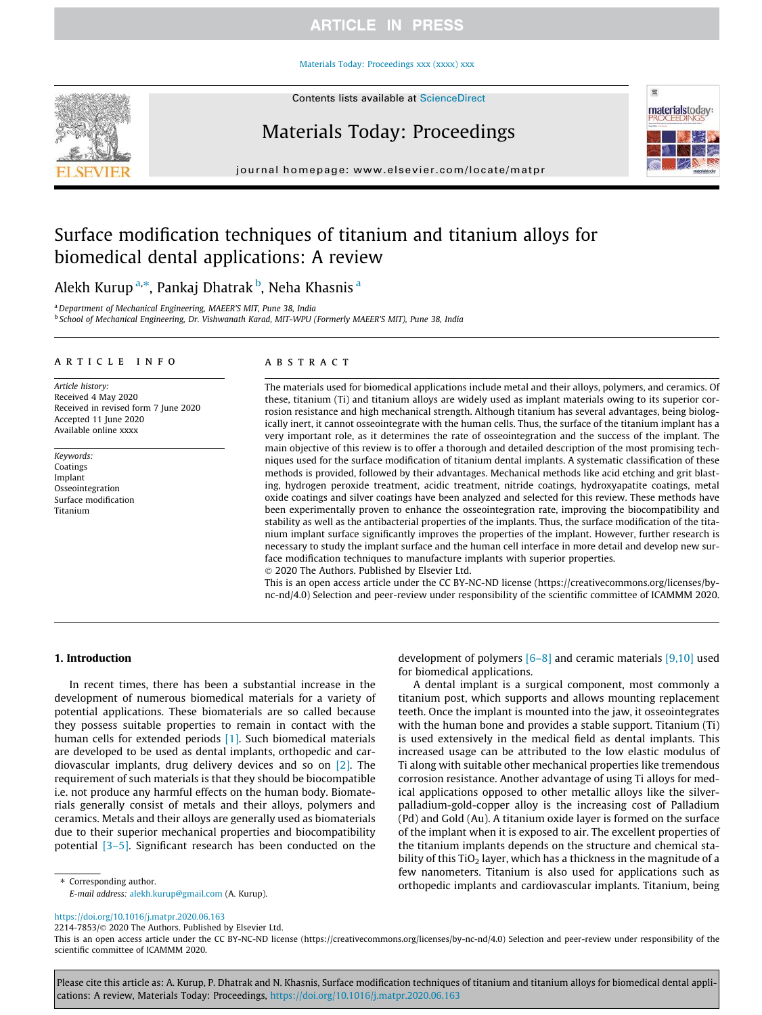### Materials Today: Proceedings xxx (xxxx) xxx



Contents lists available at ScienceDirect

# Materials Today: Proceedings

journal homepage: www.elsevier.com/locate/matpr

# Surface modification techniques of titanium and titanium alloys for biomedical dental applications: A review

# Alekh Kurup<sup>a,</sup>\*, Pankaj Dhatrak <sup>b</sup>, Neha Khasnis <sup>a</sup>

<sup>a</sup>*Department of Mechanical Engineering, MAEER'S MIT, Pune 38, India* b *School of Mechanical Engineering, Dr. Vishwanath Karad, MIT-WPU (Formerly MAEER'S MIT), Pune 38, India*

#### article info

*Article history:* Received 4 May 2020 Received in revised form 7 June 2020 Accepted 11 June 2020 Available online xxxx

*Keywords:* Coatings Implant Osseointegration Surface modification Titanium

### ABSTRACT

The materials used for biomedical applications include metal and their alloys, polymers, and ceramics. Of these, titanium (Ti) and titanium alloys are widely used as implant materials owing to its superior corrosion resistance and high mechanical strength. Although titanium has several advantages, being biologically inert, it cannot osseointegrate with the human cells. Thus, the surface of the titanium implant has a very important role, as it determines the rate of osseointegration and the success of the implant. The main objective of this review is to offer a thorough and detailed description of the most promising techniques used for the surface modification of titanium dental implants. A systematic classification of these methods is provided, followed by their advantages. Mechanical methods like acid etching and grit blasting, hydrogen peroxide treatment, acidic treatment, nitride coatings, hydroxyapatite coatings, metal oxide coatings and silver coatings have been analyzed and selected for this review. These methods have been experimentally proven to enhance the osseointegration rate, improving the biocompatibility and stability as well as the antibacterial properties of the implants. Thus, the surface modification of the titanium implant surface significantly improves the properties of the implant. However, further research is necessary to study the implant surface and the human cell interface in more detail and develop new surface modification techniques to manufacture implants with superior properties. 2020 The Authors. Published by Elsevier Ltd.

This is an open access article under the CC BY-NC-ND license (https://creativecommons.org/licenses/bync-nd/4.0) Selection and peer-review under responsibility of the scientific committee of ICAMMM 2020.

### 1. Introduction

In recent times, there has been a substantial increase in the development of numerous biomedical materials for a variety of potential applications. These biomaterials are so called because they possess suitable properties to remain in contact with the human cells for extended periods [1]. Such biomedical materials are developed to be used as dental implants, orthopedic and cardiovascular implants, drug delivery devices and so on [2]. The requirement of such materials is that they should be biocompatible i.e. not produce any harmful effects on the human body. Biomaterials generally consist of metals and their alloys, polymers and ceramics. Metals and their alloys are generally used as biomaterials due to their superior mechanical properties and biocompatibility potential [3–5]. Significant research has been conducted on the

⇑ Corresponding author.

*E-mail address:* alekh.kurup@gmail.com (A. Kurup).

development of polymers  $[6-8]$  and ceramic materials  $[9,10]$  used for biomedical applications.

度

materialstoday

A dental implant is a surgical component, most commonly a titanium post, which supports and allows mounting replacement teeth. Once the implant is mounted into the jaw, it osseointegrates with the human bone and provides a stable support. Titanium (Ti) is used extensively in the medical field as dental implants. This increased usage can be attributed to the low elastic modulus of Ti along with suitable other mechanical properties like tremendous corrosion resistance. Another advantage of using Ti alloys for medical applications opposed to other metallic alloys like the silverpalladium-gold-copper alloy is the increasing cost of Palladium (Pd) and Gold (Au). A titanium oxide layer is formed on the surface of the implant when it is exposed to air. The excellent properties of the titanium implants depends on the structure and chemical stability of this TiO<sub>2</sub> layer, which has a thickness in the magnitude of a few nanometers. Titanium is also used for applications such as orthopedic implants and cardiovascular implants. Titanium, being

https://doi.org/10.1016/j.matpr.2020.06.163

2214-7853/ 2020 The Authors. Published by Elsevier Ltd.

This is an open access article under the CC BY-NC-ND license (https://creativecommons.org/licenses/by-nc-nd/4.0) Selection and peer-review under responsibility of the scientific committee of ICAMMM 2020.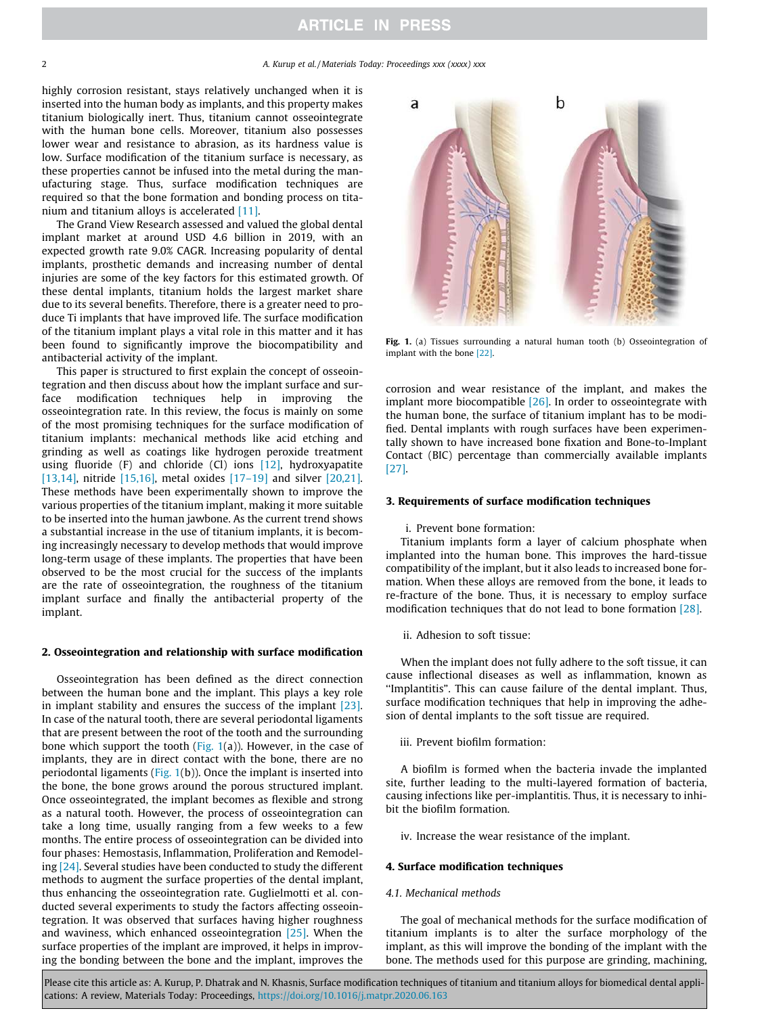highly corrosion resistant, stays relatively unchanged when it is inserted into the human body as implants, and this property makes titanium biologically inert. Thus, titanium cannot osseointegrate with the human bone cells. Moreover, titanium also possesses lower wear and resistance to abrasion, as its hardness value is low. Surface modification of the titanium surface is necessary, as these properties cannot be infused into the metal during the manufacturing stage. Thus, surface modification techniques are required so that the bone formation and bonding process on titanium and titanium alloys is accelerated [11].

The Grand View Research assessed and valued the global dental implant market at around USD 4.6 billion in 2019, with an expected growth rate 9.0% CAGR. Increasing popularity of dental implants, prosthetic demands and increasing number of dental injuries are some of the key factors for this estimated growth. Of these dental implants, titanium holds the largest market share due to its several benefits. Therefore, there is a greater need to produce Ti implants that have improved life. The surface modification of the titanium implant plays a vital role in this matter and it has been found to significantly improve the biocompatibility and antibacterial activity of the implant.

This paper is structured to first explain the concept of osseointegration and then discuss about how the implant surface and surface modification techniques help in improving the osseointegration rate. In this review, the focus is mainly on some of the most promising techniques for the surface modification of titanium implants: mechanical methods like acid etching and grinding as well as coatings like hydrogen peroxide treatment using fluoride (F) and chloride (Cl) ions [12], hydroxyapatite [13,14], nitride [15,16], metal oxides [17–19] and silver [20,21]. These methods have been experimentally shown to improve the various properties of the titanium implant, making it more suitable to be inserted into the human jawbone. As the current trend shows a substantial increase in the use of titanium implants, it is becoming increasingly necessary to develop methods that would improve long-term usage of these implants. The properties that have been observed to be the most crucial for the success of the implants are the rate of osseointegration, the roughness of the titanium implant surface and finally the antibacterial property of the implant.

### 2. Osseointegration and relationship with surface modification

Osseointegration has been defined as the direct connection between the human bone and the implant. This plays a key role in implant stability and ensures the success of the implant [23]. In case of the natural tooth, there are several periodontal ligaments that are present between the root of the tooth and the surrounding bone which support the tooth (Fig. 1(a)). However, in the case of implants, they are in direct contact with the bone, there are no periodontal ligaments (Fig. 1(b)). Once the implant is inserted into the bone, the bone grows around the porous structured implant. Once osseointegrated, the implant becomes as flexible and strong as a natural tooth. However, the process of osseointegration can take a long time, usually ranging from a few weeks to a few months. The entire process of osseointegration can be divided into four phases: Hemostasis, Inflammation, Proliferation and Remodeling [24]. Several studies have been conducted to study the different methods to augment the surface properties of the dental implant, thus enhancing the osseointegration rate. Guglielmotti et al. conducted several experiments to study the factors affecting osseointegration. It was observed that surfaces having higher roughness and waviness, which enhanced osseointegration [25]. When the surface properties of the implant are improved, it helps in improving the bonding between the bone and the implant, improves the



Fig. 1. (a) Tissues surrounding a natural human tooth (b) Osseointegration of implant with the bone [22].

corrosion and wear resistance of the implant, and makes the implant more biocompatible [26]. In order to osseointegrate with the human bone, the surface of titanium implant has to be modified. Dental implants with rough surfaces have been experimentally shown to have increased bone fixation and Bone-to-Implant Contact (BIC) percentage than commercially available implants [27].

### 3. Requirements of surface modification techniques

#### i. Prevent bone formation:

Titanium implants form a layer of calcium phosphate when implanted into the human bone. This improves the hard-tissue compatibility of the implant, but it also leads to increased bone formation. When these alloys are removed from the bone, it leads to re-fracture of the bone. Thus, it is necessary to employ surface modification techniques that do not lead to bone formation [28].

ii. Adhesion to soft tissue:

When the implant does not fully adhere to the soft tissue, it can cause inflectional diseases as well as inflammation, known as ''Implantitis". This can cause failure of the dental implant. Thus, surface modification techniques that help in improving the adhesion of dental implants to the soft tissue are required.

iii. Prevent biofilm formation:

A biofilm is formed when the bacteria invade the implanted site, further leading to the multi-layered formation of bacteria, causing infections like per-implantitis. Thus, it is necessary to inhibit the biofilm formation.

iv. Increase the wear resistance of the implant.

### 4. Surface modification techniques

### *4.1. Mechanical methods*

The goal of mechanical methods for the surface modification of titanium implants is to alter the surface morphology of the implant, as this will improve the bonding of the implant with the bone. The methods used for this purpose are grinding, machining,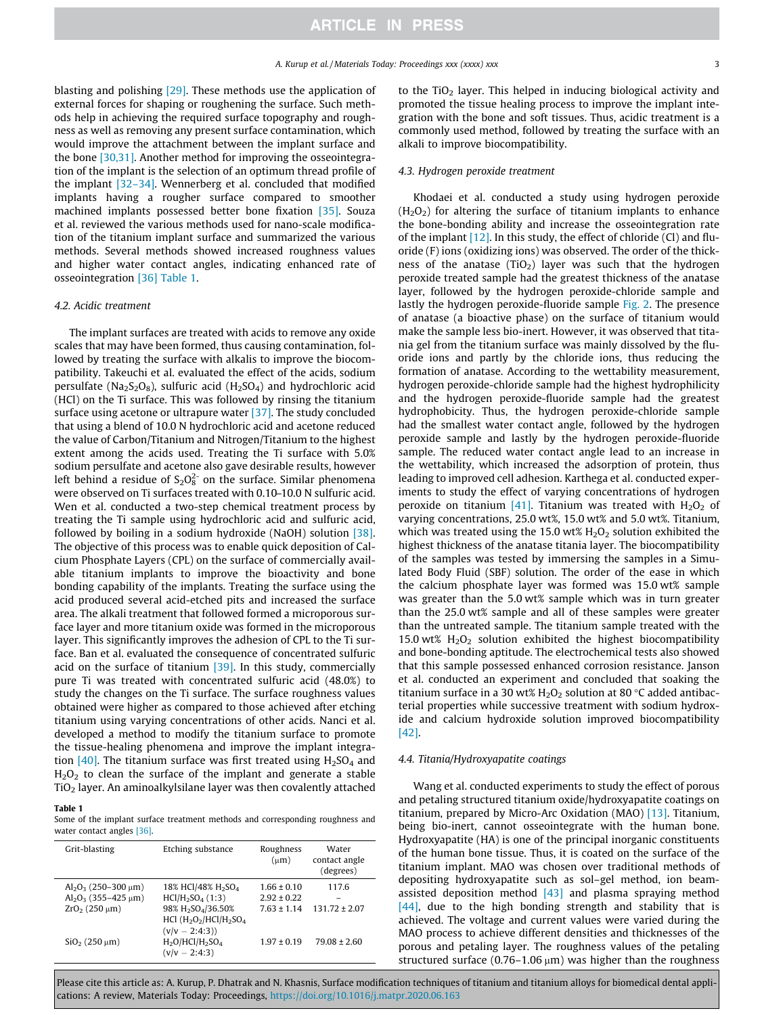blasting and polishing [29]. These methods use the application of external forces for shaping or roughening the surface. Such methods help in achieving the required surface topography and roughness as well as removing any present surface contamination, which would improve the attachment between the implant surface and the bone [30,31]. Another method for improving the osseointegration of the implant is the selection of an optimum thread profile of the implant [32–34]. Wennerberg et al. concluded that modified implants having a rougher surface compared to smoother machined implants possessed better bone fixation [35]. Souza et al. reviewed the various methods used for nano-scale modification of the titanium implant surface and summarized the various methods. Several methods showed increased roughness values and higher water contact angles, indicating enhanced rate of osseointegration [36] Table 1.

### *4.2. Acidic treatment*

The implant surfaces are treated with acids to remove any oxide scales that may have been formed, thus causing contamination, followed by treating the surface with alkalis to improve the biocompatibility. Takeuchi et al. evaluated the effect of the acids, sodium persulfate (Na<sub>2</sub>S<sub>2</sub>O<sub>8</sub>), sulfuric acid (H<sub>2</sub>SO<sub>4</sub>) and hydrochloric acid (HCl) on the Ti surface. This was followed by rinsing the titanium surface using acetone or ultrapure water [37]. The study concluded that using a blend of 10.0 N hydrochloric acid and acetone reduced the value of Carbon/Titanium and Nitrogen/Titanium to the highest extent among the acids used. Treating the Ti surface with 5.0% sodium persulfate and acetone also gave desirable results, however left behind a residue of  $S_2O_8^{2-}$  on the surface. Similar phenomena were observed on Ti surfaces treated with 0.10–10.0 N sulfuric acid. Wen et al. conducted a two-step chemical treatment process by treating the Ti sample using hydrochloric acid and sulfuric acid, followed by boiling in a sodium hydroxide (NaOH) solution [38]. The objective of this process was to enable quick deposition of Calcium Phosphate Layers (CPL) on the surface of commercially available titanium implants to improve the bioactivity and bone bonding capability of the implants. Treating the surface using the acid produced several acid-etched pits and increased the surface area. The alkali treatment that followed formed a microporous surface layer and more titanium oxide was formed in the microporous layer. This significantly improves the adhesion of CPL to the Ti surface. Ban et al. evaluated the consequence of concentrated sulfuric acid on the surface of titanium [39]. In this study, commercially pure Ti was treated with concentrated sulfuric acid (48.0%) to study the changes on the Ti surface. The surface roughness values obtained were higher as compared to those achieved after etching titanium using varying concentrations of other acids. Nanci et al. developed a method to modify the titanium surface to promote the tissue-healing phenomena and improve the implant integration  $[40]$ . The titanium surface was first treated using  $H<sub>2</sub>SO<sub>4</sub>$  and  $H_2O_2$  to clean the surface of the implant and generate a stable  $TiO<sub>2</sub>$  layer. An aminoalkylsilane layer was then covalently attached

### Table 1

Some of the implant surface treatment methods and corresponding roughness and water contact angles [36].

| Grit-blasting                                                                 | Etching substance                                                                                                                                                                      | Roughness<br>$(\mu m)$                                | Water<br>contact angle<br>(degrees) |
|-------------------------------------------------------------------------------|----------------------------------------------------------------------------------------------------------------------------------------------------------------------------------------|-------------------------------------------------------|-------------------------------------|
| $Al_2O_3$ (250–300 $\mu$ m)<br>$Al_2O_3$ (355-425 µm)<br>$ZrO2$ (250 $\mu$ m) | 18% HCl/48% H <sub>2</sub> SO <sub>4</sub><br>HCI/H <sub>2</sub> SO <sub>4</sub> (1:3)<br>98% H <sub>2</sub> SO <sub>4</sub> /36.50%<br>HCl $(H_2O_2/HCl/H_2SO_4)$<br>$(v/v - 2:4:3))$ | $1.66 \pm 0.10$<br>$2.92 \pm 0.22$<br>$7.63 \pm 1.14$ | 117.6<br>$131.72 \pm 2.07$          |
| $SiO2$ (250 $\mu$ m)                                                          | $H2O/HCl/H2SO4$<br>$(v/v - 2:4:3)$                                                                                                                                                     | $1.97 \pm 0.19$                                       | $79.08 \pm 2.60$                    |

to the TiO<sub>2</sub> layer. This helped in inducing biological activity and promoted the tissue healing process to improve the implant integration with the bone and soft tissues. Thus, acidic treatment is a commonly used method, followed by treating the surface with an alkali to improve biocompatibility.

### *4.3. Hydrogen peroxide treatment*

Khodaei et al. conducted a study using hydrogen peroxide  $(H<sub>2</sub>O<sub>2</sub>)$  for altering the surface of titanium implants to enhance the bone-bonding ability and increase the osseointegration rate of the implant  $[12]$ . In this study, the effect of chloride (Cl) and fluoride (F) ions (oxidizing ions) was observed. The order of the thickness of the anatase (TiO<sub>2</sub>) layer was such that the hydrogen peroxide treated sample had the greatest thickness of the anatase layer, followed by the hydrogen peroxide-chloride sample and lastly the hydrogen peroxide-fluoride sample Fig. 2. The presence of anatase (a bioactive phase) on the surface of titanium would make the sample less bio-inert. However, it was observed that titania gel from the titanium surface was mainly dissolved by the fluoride ions and partly by the chloride ions, thus reducing the formation of anatase. According to the wettability measurement, hydrogen peroxide-chloride sample had the highest hydrophilicity and the hydrogen peroxide-fluoride sample had the greatest hydrophobicity. Thus, the hydrogen peroxide-chloride sample had the smallest water contact angle, followed by the hydrogen peroxide sample and lastly by the hydrogen peroxide-fluoride sample. The reduced water contact angle lead to an increase in the wettability, which increased the adsorption of protein, thus leading to improved cell adhesion. Karthega et al. conducted experiments to study the effect of varying concentrations of hydrogen peroxide on titanium [41]. Titanium was treated with  $H_2O_2$  of varying concentrations, 25.0 wt%, 15.0 wt% and 5.0 wt%. Titanium, which was treated using the 15.0 wt%  $H<sub>2</sub>O<sub>2</sub>$  solution exhibited the highest thickness of the anatase titania layer. The biocompatibility of the samples was tested by immersing the samples in a Simulated Body Fluid (SBF) solution. The order of the ease in which the calcium phosphate layer was formed was 15.0 wt% sample was greater than the 5.0 wt% sample which was in turn greater than the 25.0 wt% sample and all of these samples were greater than the untreated sample. The titanium sample treated with the 15.0 wt%  $H_2O_2$  solution exhibited the highest biocompatibility and bone-bonding aptitude. The electrochemical tests also showed that this sample possessed enhanced corrosion resistance. Janson et al. conducted an experiment and concluded that soaking the titanium surface in a 30 wt%  $H_2O_2$  solution at 80 °C added antibacterial properties while successive treatment with sodium hydroxide and calcium hydroxide solution improved biocompatibility [42].

#### *4.4. Titania/Hydroxyapatite coatings*

Wang et al. conducted experiments to study the effect of porous and petaling structured titanium oxide/hydroxyapatite coatings on titanium, prepared by Micro-Arc Oxidation (MAO) [13]. Titanium, being bio-inert, cannot osseointegrate with the human bone. Hydroxyapatite (HA) is one of the principal inorganic constituents of the human bone tissue. Thus, it is coated on the surface of the titanium implant. MAO was chosen over traditional methods of depositing hydroxyapatite such as sol–gel method, ion beamassisted deposition method  $[43]$  and plasma spraying method [44], due to the high bonding strength and stability that is achieved. The voltage and current values were varied during the MAO process to achieve different densities and thicknesses of the porous and petaling layer. The roughness values of the petaling structured surface (0.76–1.06  $\mu$ m) was higher than the roughness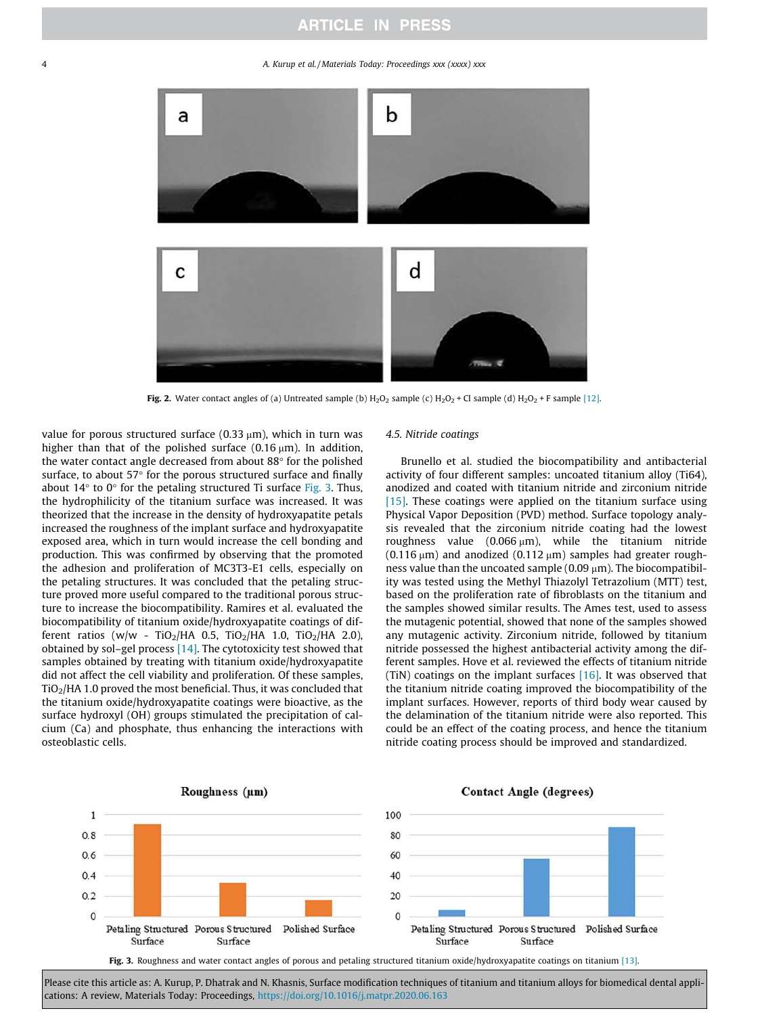4 *A. Kurup et al. / Materials Today: Proceedings xxx (xxxx) xxx*



Fig. 2. Water contact angles of (a) Untreated sample (b)  $H_2O_2$  sample (c)  $H_2O_2$  + Cl sample (d)  $H_2O_2$  + F sample [12].

value for porous structured surface  $(0.33 \mu m)$ , which in turn was higher than that of the polished surface (0.16  $\mu$ m). In addition, the water contact angle decreased from about  $88^\circ$  for the polished surface, to about  $57^{\circ}$  for the porous structured surface and finally about  $14^{\circ}$  to  $0^{\circ}$  for the petaling structured Ti surface Fig. 3. Thus, the hydrophilicity of the titanium surface was increased. It was theorized that the increase in the density of hydroxyapatite petals increased the roughness of the implant surface and hydroxyapatite exposed area, which in turn would increase the cell bonding and production. This was confirmed by observing that the promoted the adhesion and proliferation of MC3T3-E1 cells, especially on the petaling structures. It was concluded that the petaling structure proved more useful compared to the traditional porous structure to increase the biocompatibility. Ramires et al. evaluated the biocompatibility of titanium oxide/hydroxyapatite coatings of different ratios (w/w - TiO<sub>2</sub>/HA 0.5, TiO<sub>2</sub>/HA 1.0, TiO<sub>2</sub>/HA 2.0), obtained by sol–gel process [14]. The cytotoxicity test showed that samples obtained by treating with titanium oxide/hydroxyapatite did not affect the cell viability and proliferation. Of these samples,  $TiO<sub>2</sub>/HA$  1.0 proved the most beneficial. Thus, it was concluded that the titanium oxide/hydroxyapatite coatings were bioactive, as the surface hydroxyl (OH) groups stimulated the precipitation of calcium (Ca) and phosphate, thus enhancing the interactions with osteoblastic cells.

### *4.5. Nitride coatings*

Brunello et al. studied the biocompatibility and antibacterial activity of four different samples: uncoated titanium alloy (Ti64), anodized and coated with titanium nitride and zirconium nitride [15]. These coatings were applied on the titanium surface using Physical Vapor Deposition (PVD) method. Surface topology analysis revealed that the zirconium nitride coating had the lowest roughness value  $(0.066 \,\mu\text{m})$ , while the titanium nitride  $(0.116 \,\mu m)$  and anodized  $(0.112 \,\mu m)$  samples had greater roughness value than the uncoated sample  $(0.09 \,\mu m)$ . The biocompatibility was tested using the Methyl Thiazolyl Tetrazolium (MTT) test, based on the proliferation rate of fibroblasts on the titanium and the samples showed similar results. The Ames test, used to assess the mutagenic potential, showed that none of the samples showed any mutagenic activity. Zirconium nitride, followed by titanium nitride possessed the highest antibacterial activity among the different samples. Hove et al. reviewed the effects of titanium nitride (TiN) coatings on the implant surfaces  $[16]$ . It was observed that the titanium nitride coating improved the biocompatibility of the implant surfaces. However, reports of third body wear caused by the delamination of the titanium nitride were also reported. This could be an effect of the coating process, and hence the titanium nitride coating process should be improved and standardized.



Fig. 3. Roughness and water contact angles of porous and petaling structured titanium oxide/hydroxyapatite coatings on titanium [13].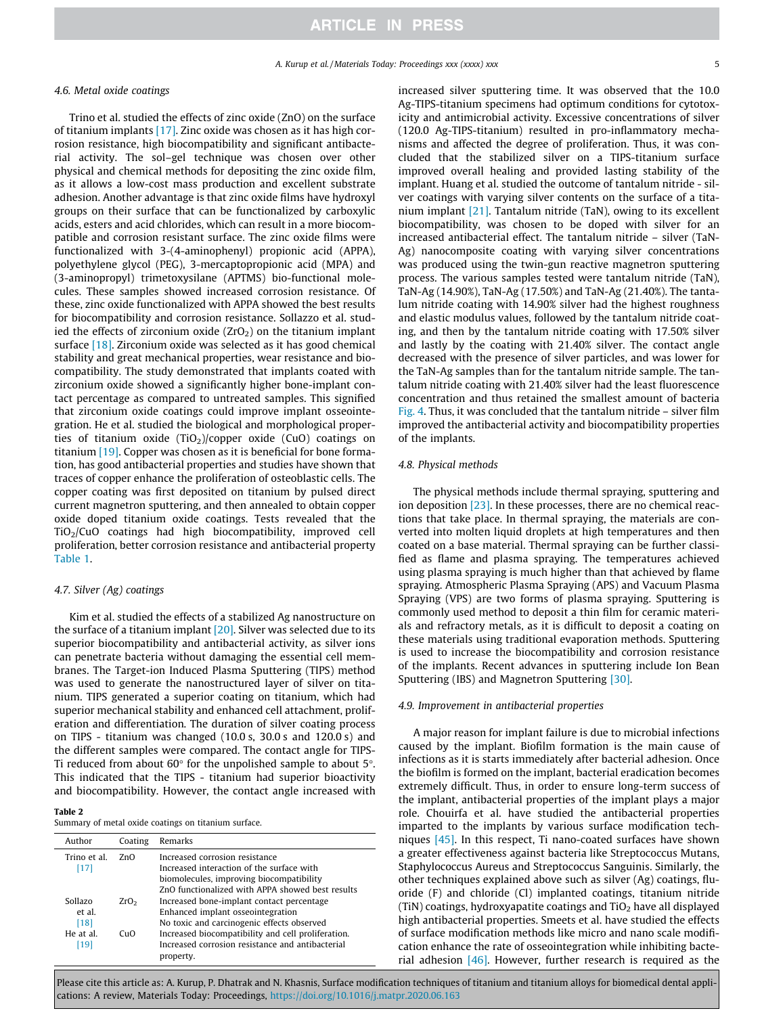#### *4.6. Metal oxide coatings*

Trino et al. studied the effects of zinc oxide (ZnO) on the surface of titanium implants  $[17]$ . Zinc oxide was chosen as it has high corrosion resistance, high biocompatibility and significant antibacterial activity. The sol–gel technique was chosen over other physical and chemical methods for depositing the zinc oxide film, as it allows a low-cost mass production and excellent substrate adhesion. Another advantage is that zinc oxide films have hydroxyl groups on their surface that can be functionalized by carboxylic acids, esters and acid chlorides, which can result in a more biocompatible and corrosion resistant surface. The zinc oxide films were functionalized with 3-(4-aminophenyl) propionic acid (APPA), polyethylene glycol (PEG), 3-mercaptopropionic acid (MPA) and (3-aminopropyl) trimetoxysilane (APTMS) bio-functional molecules. These samples showed increased corrosion resistance. Of these, zinc oxide functionalized with APPA showed the best results for biocompatibility and corrosion resistance. Sollazzo et al. studied the effects of zirconium oxide  $(ZrO<sub>2</sub>)$  on the titanium implant surface [18]. Zirconium oxide was selected as it has good chemical stability and great mechanical properties, wear resistance and biocompatibility. The study demonstrated that implants coated with zirconium oxide showed a significantly higher bone-implant contact percentage as compared to untreated samples. This signified that zirconium oxide coatings could improve implant osseointegration. He et al. studied the biological and morphological properties of titanium oxide  $(TiO<sub>2</sub>)/copper$  oxide  $(CuO)$  coatings on titanium [19]. Copper was chosen as it is beneficial for bone formation, has good antibacterial properties and studies have shown that traces of copper enhance the proliferation of osteoblastic cells. The copper coating was first deposited on titanium by pulsed direct current magnetron sputtering, and then annealed to obtain copper oxide doped titanium oxide coatings. Tests revealed that the TiO2/CuO coatings had high biocompatibility, improved cell proliferation, better corrosion resistance and antibacterial property Table 1.

### *4.7. Silver (Ag) coatings*

Kim et al. studied the effects of a stabilized Ag nanostructure on the surface of a titanium implant [20]. Silver was selected due to its superior biocompatibility and antibacterial activity, as silver ions can penetrate bacteria without damaging the essential cell membranes. The Target-ion Induced Plasma Sputtering (TIPS) method was used to generate the nanostructured layer of silver on titanium. TIPS generated a superior coating on titanium, which had superior mechanical stability and enhanced cell attachment, proliferation and differentiation. The duration of silver coating process on TIPS - titanium was changed (10.0 s, 30.0 s and 120.0 s) and the different samples were compared. The contact angle for TIPS-Ti reduced from about  $60^{\circ}$  for the unpolished sample to about  $5^{\circ}$ . This indicated that the TIPS - titanium had superior bioactivity and biocompatibility. However, the contact angle increased with

### Table 2

Summary of metal oxide coatings on titanium surface.

| Author      | Coating          | Remarks                                            |
|-------------|------------------|----------------------------------------------------|
| Trino et al | ZnO              | Increased corrosion resistance                     |
| $[17]$      |                  | Increased interaction of the surface with          |
|             |                  | biomolecules, improving biocompatibility           |
|             |                  | ZnO functionalized with APPA showed best results   |
| Sollazo     | ZrO <sub>2</sub> | Increased bone-implant contact percentage          |
| et al.      |                  | Enhanced implant osseointegration                  |
| [18]        |                  | No toxic and carcinogenic effects observed         |
| He at al.   | $C_{11}$         | Increased biocompatibility and cell proliferation. |
| [19]        |                  | Increased corrosion resistance and antibacterial   |
|             |                  | property.                                          |
|             |                  |                                                    |

increased silver sputtering time. It was observed that the 10.0 Ag-TIPS-titanium specimens had optimum conditions for cytotoxicity and antimicrobial activity. Excessive concentrations of silver (120.0 Ag-TIPS-titanium) resulted in pro-inflammatory mechanisms and affected the degree of proliferation. Thus, it was concluded that the stabilized silver on a TIPS-titanium surface improved overall healing and provided lasting stability of the implant. Huang et al. studied the outcome of tantalum nitride - silver coatings with varying silver contents on the surface of a titanium implant [21]. Tantalum nitride (TaN), owing to its excellent biocompatibility, was chosen to be doped with silver for an increased antibacterial effect. The tantalum nitride – silver (TaN-Ag) nanocomposite coating with varying silver concentrations was produced using the twin-gun reactive magnetron sputtering process. The various samples tested were tantalum nitride (TaN), TaN-Ag (14.90%), TaN-Ag (17.50%) and TaN-Ag (21.40%). The tantalum nitride coating with 14.90% silver had the highest roughness and elastic modulus values, followed by the tantalum nitride coating, and then by the tantalum nitride coating with 17.50% silver and lastly by the coating with 21.40% silver. The contact angle decreased with the presence of silver particles, and was lower for the TaN-Ag samples than for the tantalum nitride sample. The tantalum nitride coating with 21.40% silver had the least fluorescence concentration and thus retained the smallest amount of bacteria Fig. 4. Thus, it was concluded that the tantalum nitride – silver film improved the antibacterial activity and biocompatibility properties of the implants.

### *4.8. Physical methods*

The physical methods include thermal spraying, sputtering and ion deposition  $[23]$ . In these processes, there are no chemical reactions that take place. In thermal spraying, the materials are converted into molten liquid droplets at high temperatures and then coated on a base material. Thermal spraying can be further classified as flame and plasma spraying. The temperatures achieved using plasma spraying is much higher than that achieved by flame spraying. Atmospheric Plasma Spraying (APS) and Vacuum Plasma Spraying (VPS) are two forms of plasma spraying. Sputtering is commonly used method to deposit a thin film for ceramic materials and refractory metals, as it is difficult to deposit a coating on these materials using traditional evaporation methods. Sputtering is used to increase the biocompatibility and corrosion resistance of the implants. Recent advances in sputtering include Ion Bean Sputtering (IBS) and Magnetron Sputtering [30].

### *4.9. Improvement in antibacterial properties*

A major reason for implant failure is due to microbial infections caused by the implant. Biofilm formation is the main cause of infections as it is starts immediately after bacterial adhesion. Once the biofilm is formed on the implant, bacterial eradication becomes extremely difficult. Thus, in order to ensure long-term success of the implant, antibacterial properties of the implant plays a major role. Chouirfa et al. have studied the antibacterial properties imparted to the implants by various surface modification techniques [45]. In this respect, Ti nano-coated surfaces have shown a greater effectiveness against bacteria like Streptococcus Mutans, Staphylococcus Aureus and Streptococcus Sanguinis. Similarly, the other techniques explained above such as silver (Ag) coatings, fluoride (F) and chloride (Cl) implanted coatings, titanium nitride (TiN) coatings, hydroxyapatite coatings and  $TiO<sub>2</sub>$  have all displayed high antibacterial properties. Smeets et al. have studied the effects of surface modification methods like micro and nano scale modification enhance the rate of osseointegration while inhibiting bacterial adhesion  $[46]$ . However, further research is required as the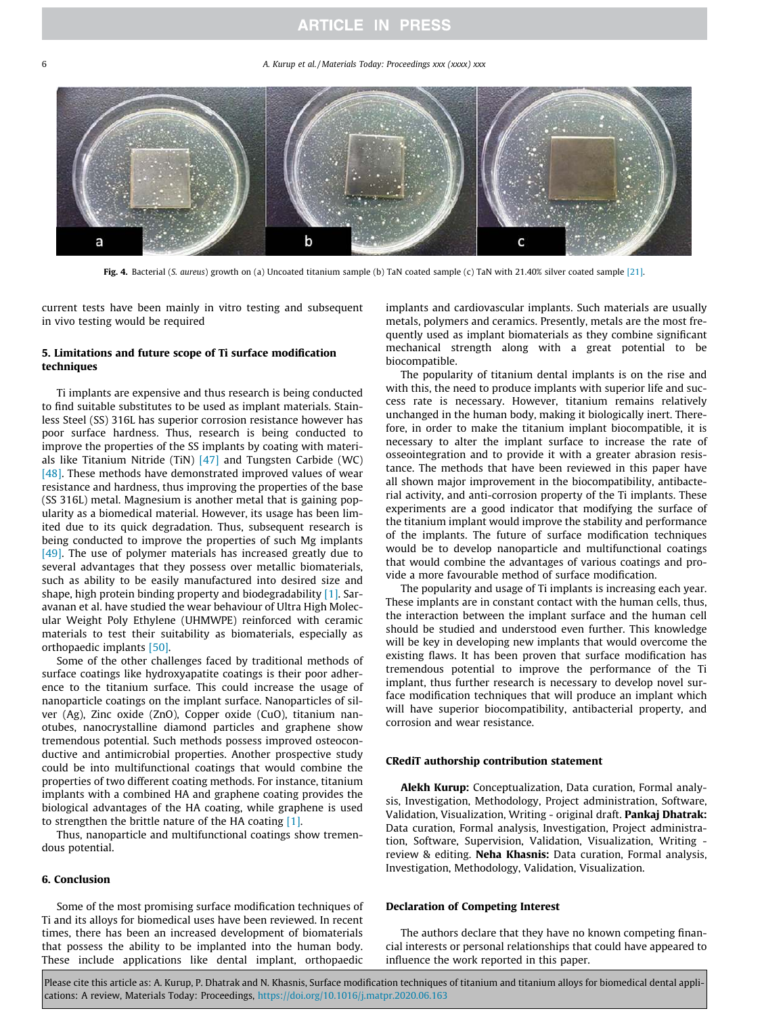

Fig. 4. Bacterial (*S. aureus*) growth on (a) Uncoated titanium sample (b) TaN coated sample (c) TaN with 21.40% silver coated sample [21].

current tests have been mainly in vitro testing and subsequent in vivo testing would be required

## 5. Limitations and future scope of Ti surface modification techniques

Ti implants are expensive and thus research is being conducted to find suitable substitutes to be used as implant materials. Stainless Steel (SS) 316L has superior corrosion resistance however has poor surface hardness. Thus, research is being conducted to improve the properties of the SS implants by coating with materials like Titanium Nitride (TiN) [47] and Tungsten Carbide (WC) [48]. These methods have demonstrated improved values of wear resistance and hardness, thus improving the properties of the base (SS 316L) metal. Magnesium is another metal that is gaining popularity as a biomedical material. However, its usage has been limited due to its quick degradation. Thus, subsequent research is being conducted to improve the properties of such Mg implants [49]. The use of polymer materials has increased greatly due to several advantages that they possess over metallic biomaterials, such as ability to be easily manufactured into desired size and shape, high protein binding property and biodegradability [1]. Saravanan et al. have studied the wear behaviour of Ultra High Molecular Weight Poly Ethylene (UHMWPE) reinforced with ceramic materials to test their suitability as biomaterials, especially as orthopaedic implants [50].

Some of the other challenges faced by traditional methods of surface coatings like hydroxyapatite coatings is their poor adherence to the titanium surface. This could increase the usage of nanoparticle coatings on the implant surface. Nanoparticles of silver (Ag), Zinc oxide (ZnO), Copper oxide (CuO), titanium nanotubes, nanocrystalline diamond particles and graphene show tremendous potential. Such methods possess improved osteoconductive and antimicrobial properties. Another prospective study could be into multifunctional coatings that would combine the properties of two different coating methods. For instance, titanium implants with a combined HA and graphene coating provides the biological advantages of the HA coating, while graphene is used to strengthen the brittle nature of the HA coating [1].

Thus, nanoparticle and multifunctional coatings show tremendous potential.

## 6. Conclusion

Some of the most promising surface modification techniques of Ti and its alloys for biomedical uses have been reviewed. In recent times, there has been an increased development of biomaterials that possess the ability to be implanted into the human body. These include applications like dental implant, orthopaedic implants and cardiovascular implants. Such materials are usually metals, polymers and ceramics. Presently, metals are the most frequently used as implant biomaterials as they combine significant mechanical strength along with a great potential to be biocompatible.

The popularity of titanium dental implants is on the rise and with this, the need to produce implants with superior life and success rate is necessary. However, titanium remains relatively unchanged in the human body, making it biologically inert. Therefore, in order to make the titanium implant biocompatible, it is necessary to alter the implant surface to increase the rate of osseointegration and to provide it with a greater abrasion resistance. The methods that have been reviewed in this paper have all shown major improvement in the biocompatibility, antibacterial activity, and anti-corrosion property of the Ti implants. These experiments are a good indicator that modifying the surface of the titanium implant would improve the stability and performance of the implants. The future of surface modification techniques would be to develop nanoparticle and multifunctional coatings that would combine the advantages of various coatings and provide a more favourable method of surface modification.

The popularity and usage of Ti implants is increasing each year. These implants are in constant contact with the human cells, thus, the interaction between the implant surface and the human cell should be studied and understood even further. This knowledge will be key in developing new implants that would overcome the existing flaws. It has been proven that surface modification has tremendous potential to improve the performance of the Ti implant, thus further research is necessary to develop novel surface modification techniques that will produce an implant which will have superior biocompatibility, antibacterial property, and corrosion and wear resistance.

### CRediT authorship contribution statement

Alekh Kurup: Conceptualization, Data curation, Formal analysis, Investigation, Methodology, Project administration, Software, Validation, Visualization, Writing - original draft. Pankaj Dhatrak: Data curation, Formal analysis, Investigation, Project administration, Software, Supervision, Validation, Visualization, Writing review & editing. Neha Khasnis: Data curation, Formal analysis, Investigation, Methodology, Validation, Visualization.

### Declaration of Competing Interest

The authors declare that they have no known competing financial interests or personal relationships that could have appeared to influence the work reported in this paper.